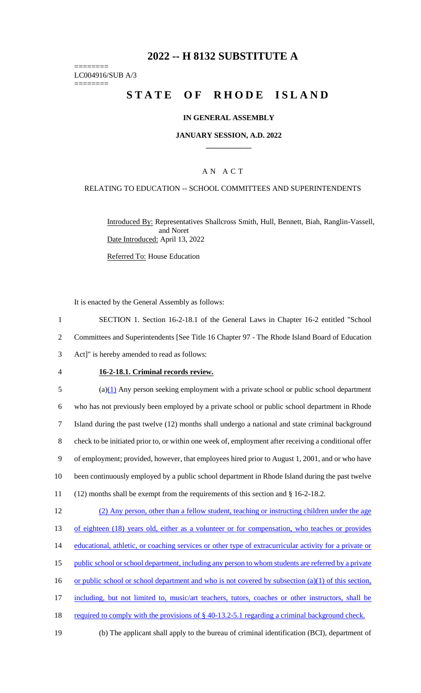# **2022 -- H 8132 SUBSTITUTE A**

======== LC004916/SUB A/3 ========

# **STATE OF RHODE ISLAND**

#### **IN GENERAL ASSEMBLY**

#### **JANUARY SESSION, A.D. 2022 \_\_\_\_\_\_\_\_\_\_\_\_**

## A N A C T

## RELATING TO EDUCATION -- SCHOOL COMMITTEES AND SUPERINTENDENTS

Introduced By: Representatives Shallcross Smith, Hull, Bennett, Biah, Ranglin-Vassell, and Noret Date Introduced: April 13, 2022

Referred To: House Education

It is enacted by the General Assembly as follows:

1 SECTION 1. Section 16-2-18.1 of the General Laws in Chapter 16-2 entitled "School 2 Committees and Superintendents [See Title 16 Chapter 97 - The Rhode Island Board of Education 3 Act]" is hereby amended to read as follows:

- 
- 

#### 4 **16-2-18.1. Criminal records review.**

 (a)(1) Any person seeking employment with a private school or public school department who has not previously been employed by a private school or public school department in Rhode Island during the past twelve (12) months shall undergo a national and state criminal background check to be initiated prior to, or within one week of, employment after receiving a conditional offer of employment; provided, however, that employees hired prior to August 1, 2001, and or who have been continuously employed by a public school department in Rhode Island during the past twelve (12) months shall be exempt from the requirements of this section and § 16-2-18.2. (2) Any person, other than a fellow student, teaching or instructing children under the age of eighteen (18) years old, either as a volunteer or for compensation, who teaches or provides 14 educational, athletic, or coaching services or other type of extracurricular activity for a private or 15 public school or school department, including any person to whom students are referred by a private

16 or public school or school department and who is not covered by subsection (a)(1) of this section,

17 including, but not limited to, music/art teachers, tutors, coaches or other instructors, shall be

- 18 required to comply with the provisions of § 40-13.2-5.1 regarding a criminal background check.
- 19 (b) The applicant shall apply to the bureau of criminal identification (BCI), department of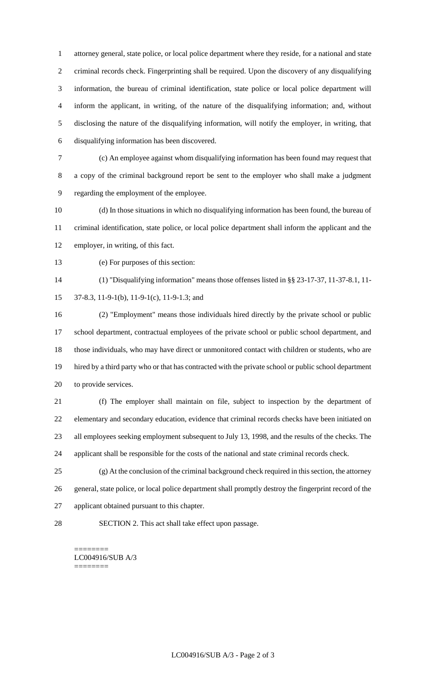attorney general, state police, or local police department where they reside, for a national and state criminal records check. Fingerprinting shall be required. Upon the discovery of any disqualifying information, the bureau of criminal identification, state police or local police department will inform the applicant, in writing, of the nature of the disqualifying information; and, without disclosing the nature of the disqualifying information, will notify the employer, in writing, that disqualifying information has been discovered.

 (c) An employee against whom disqualifying information has been found may request that a copy of the criminal background report be sent to the employer who shall make a judgment regarding the employment of the employee.

 (d) In those situations in which no disqualifying information has been found, the bureau of criminal identification, state police, or local police department shall inform the applicant and the employer, in writing, of this fact.

(e) For purposes of this section:

 (1) "Disqualifying information" means those offenses listed in §§ 23-17-37, 11-37-8.1, 11- 37-8.3, 11-9-1(b), 11-9-1(c), 11-9-1.3; and

 (2) "Employment" means those individuals hired directly by the private school or public school department, contractual employees of the private school or public school department, and those individuals, who may have direct or unmonitored contact with children or students, who are hired by a third party who or that has contracted with the private school or public school department to provide services.

 (f) The employer shall maintain on file, subject to inspection by the department of elementary and secondary education, evidence that criminal records checks have been initiated on all employees seeking employment subsequent to July 13, 1998, and the results of the checks. The applicant shall be responsible for the costs of the national and state criminal records check.

 (g) At the conclusion of the criminal background check required in this section, the attorney general, state police, or local police department shall promptly destroy the fingerprint record of the applicant obtained pursuant to this chapter.

SECTION 2. This act shall take effect upon passage.

======== LC004916/SUB A/3 ========